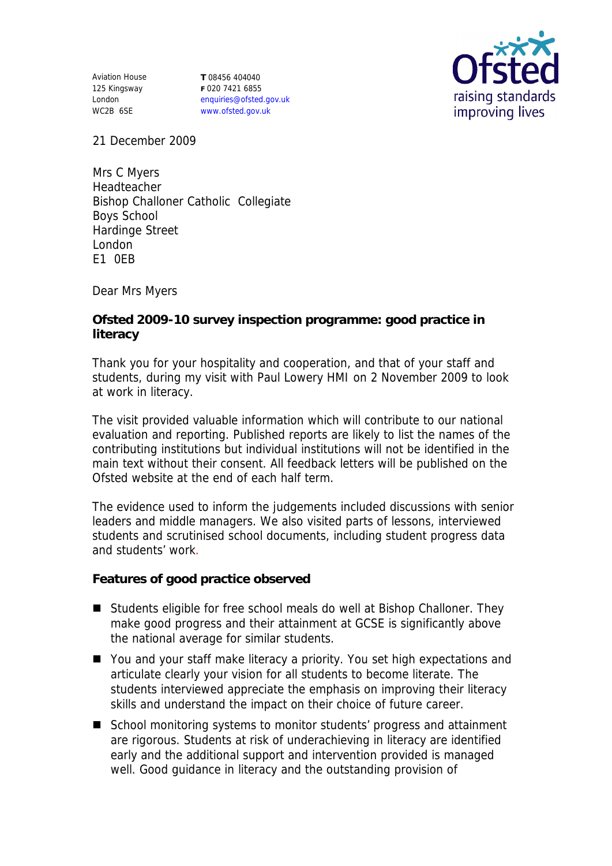Aviation House 125 Kingsway London WC2B 6SE

**T** 08456 404040 **F** 020 7421 6855 enquiries@ofsted.gov.uk www.ofsted.gov.uk



21 December 2009

Mrs C Myers Headteacher Bishop Challoner Catholic Collegiate Boys School Hardinge Street London E1 0EB

Dear Mrs Myers

**Ofsted 2009-10 survey inspection programme: good practice in literacy**

Thank you for your hospitality and cooperation, and that of your staff and students, during my visit with Paul Lowery HMI on 2 November 2009 to look at work in literacy.

The visit provided valuable information which will contribute to our national evaluation and reporting. Published reports are likely to list the names of the contributing institutions but individual institutions will not be identified in the main text without their consent. All feedback letters will be published on the Ofsted website at the end of each half term.

The evidence used to inform the judgements included discussions with senior leaders and middle managers. We also visited parts of lessons, interviewed students and scrutinised school documents, including student progress data and students' work.

**Features of good practice observed**

- Students eligible for free school meals do well at Bishop Challoner. They make good progress and their attainment at GCSE is significantly above the national average for similar students.
- You and your staff make literacy a priority. You set high expectations and articulate clearly your vision for all students to become literate. The students interviewed appreciate the emphasis on improving their literacy skills and understand the impact on their choice of future career.
- School monitoring systems to monitor students' progress and attainment are rigorous. Students at risk of underachieving in literacy are identified early and the additional support and intervention provided is managed well. Good guidance in literacy and the outstanding provision of